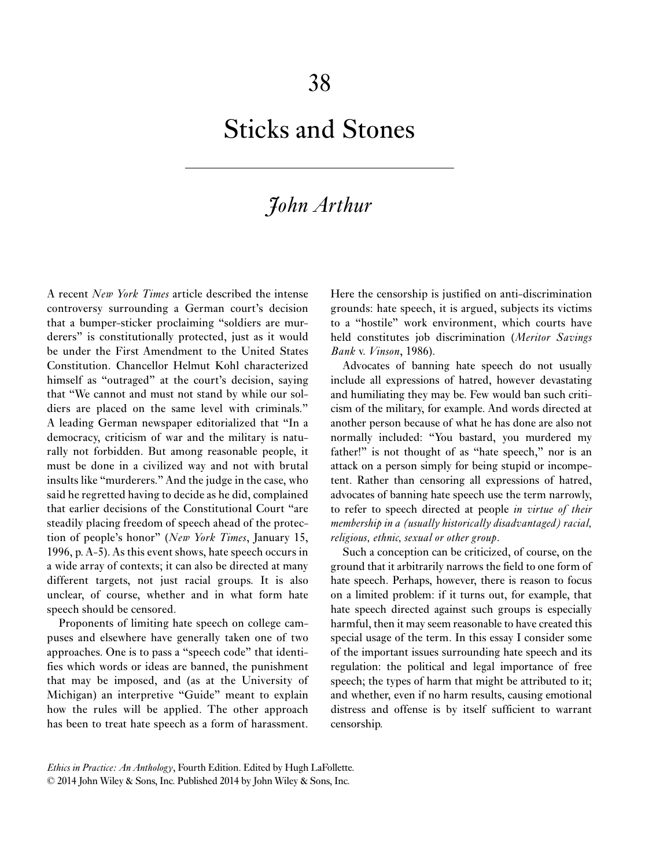# Sticks and Stones

## *John Arthur*

A recent *New York Times* article described the intense controversy surrounding a German court's decision that a bumper-sticker proclaiming "soldiers are murderers" is constitutionally protected, just as it would be under the First Amendment to the United States Constitution. Chancellor Helmut Kohl characterized himself as "outraged" at the court's decision, saying that "We cannot and must not stand by while our soldiers are placed on the same level with criminals." A leading German newspaper editorialized that "In a democracy, criticism of war and the military is naturally not forbidden. But among reasonable people, it must be done in a civilized way and not with brutal insults like "murderers." And the judge in the case, who said he regretted having to decide as he did, complained that earlier decisions of the Constitutional Court "are steadily placing freedom of speech ahead of the protection of people's honor" (*New York Times*, January 15, 1996, p. A-5). As this event shows, hate speech occurs in a wide array of contexts; it can also be directed at many different targets, not just racial groups. It is also unclear, of course, whether and in what form hate speech should be censored.

Proponents of limiting hate speech on college campuses and elsewhere have generally taken one of two approaches. One is to pass a "speech code" that identifies which words or ideas are banned, the punishment that may be imposed, and (as at the University of Michigan) an interpretive "Guide" meant to explain how the rules will be applied. The other approach has been to treat hate speech as a form of harassment. Here the censorship is justified on anti-discrimination grounds: hate speech, it is argued, subjects its victims to a "hostile" work environment, which courts have held constitutes job discrimination (*Meritor Savings Bank* v. *Vinson*, 1986).

Advocates of banning hate speech do not usually include all expressions of hatred, however devastating and humiliating they may be. Few would ban such criticism of the military, for example. And words directed at another person because of what he has done are also not normally included: "You bastard, you murdered my father!" is not thought of as "hate speech," nor is an attack on a person simply for being stupid or incompetent. Rather than censoring all expressions of hatred, advocates of banning hate speech use the term narrowly, to refer to speech directed at people *in virtue of their membership in a (usually historically disadvantaged) racial, religious, ethnic, sexual or other group*.

Such a conception can be criticized, of course, on the ground that it arbitrarily narrows the field to one form of hate speech. Perhaps, however, there is reason to focus on a limited problem: if it turns out, for example, that hate speech directed against such groups is especially harmful, then it may seem reasonable to have created this special usage of the term. In this essay I consider some of the important issues surrounding hate speech and its regulation: the political and legal importance of free speech; the types of harm that might be attributed to it; and whether, even if no harm results, causing emotional distress and offense is by itself sufficient to warrant censorship.

*Ethics in Practice: An Anthology*, Fourth Edition. Edited by Hugh LaFollette. © 2014 John Wiley & Sons, Inc. Published 2014 by John Wiley & Sons, Inc.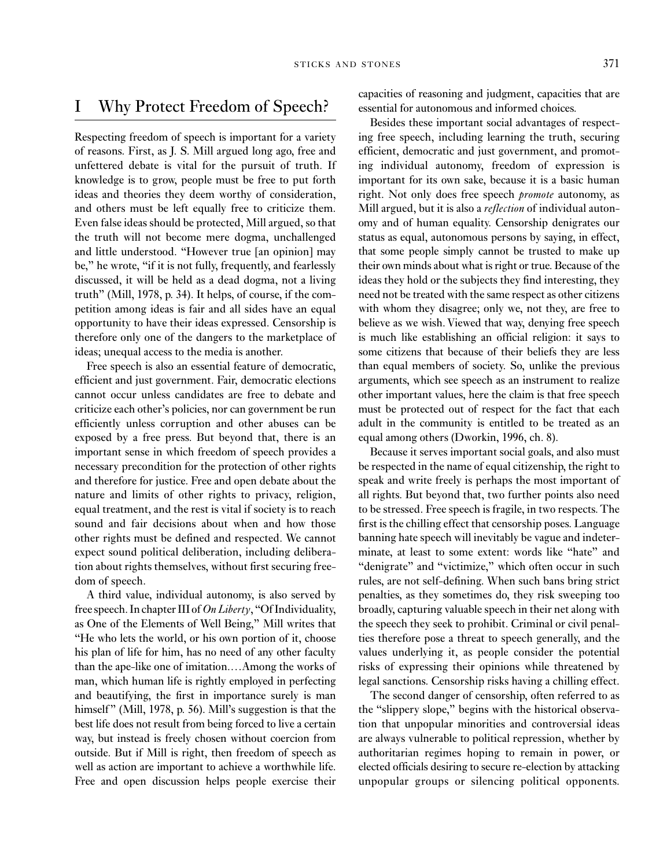### I Why Protect Freedom of Speech?

Respecting freedom of speech is important for a variety of reasons. First, as J. S. Mill argued long ago, free and unfettered debate is vital for the pursuit of truth. If knowledge is to grow, people must be free to put forth ideas and theories they deem worthy of consideration, and others must be left equally free to criticize them. Even false ideas should be protected, Mill argued, so that the truth will not become mere dogma, unchallenged and little understood. "However true [an opinion] may be," he wrote, "if it is not fully, frequently, and fearlessly discussed, it will be held as a dead dogma, not a living truth" (Mill, 1978, p. 34). It helps, of course, if the competition among ideas is fair and all sides have an equal opportunity to have their ideas expressed. Censorship is therefore only one of the dangers to the marketplace of ideas; unequal access to the media is another.

Free speech is also an essential feature of democratic, efficient and just government. Fair, democratic elections cannot occur unless candidates are free to debate and criticize each other's policies, nor can government be run efficiently unless corruption and other abuses can be exposed by a free press. But beyond that, there is an important sense in which freedom of speech provides a necessary precondition for the protection of other rights and therefore for justice. Free and open debate about the nature and limits of other rights to privacy, religion, equal treatment, and the rest is vital if society is to reach sound and fair decisions about when and how those other rights must be defined and respected. We cannot expect sound political deliberation, including deliberation about rights themselves, without first securing freedom of speech.

A third value, individual autonomy, is also served by free speech. In chapter III of *On Liberty*, "Of Individuality, as One of the Elements of Well Being," Mill writes that "He who lets the world, or his own portion of it, choose his plan of life for him, has no need of any other faculty than the ape-like one of imitation.…Among the works of man, which human life is rightly employed in perfecting and beautifying, the first in importance surely is man himself" (Mill, 1978, p. 56). Mill's suggestion is that the best life does not result from being forced to live a certain way, but instead is freely chosen without coercion from outside. But if Mill is right, then freedom of speech as well as action are important to achieve a worthwhile life. Free and open discussion helps people exercise their

capacities of reasoning and judgment, capacities that are essential for autonomous and informed choices.

Besides these important social advantages of respecting free speech, including learning the truth, securing efficient, democratic and just government, and promoting individual autonomy, freedom of expression is important for its own sake, because it is a basic human right. Not only does free speech *promote* autonomy, as Mill argued, but it is also a *reflection* of individual autonomy and of human equality. Censorship denigrates our status as equal, autonomous persons by saying, in effect, that some people simply cannot be trusted to make up their own minds about what is right or true. Because of the ideas they hold or the subjects they find interesting, they need not be treated with the same respect as other citizens with whom they disagree; only we, not they, are free to believe as we wish. Viewed that way, denying free speech is much like establishing an official religion: it says to some citizens that because of their beliefs they are less than equal members of society. So, unlike the previous arguments, which see speech as an instrument to realize other important values, here the claim is that free speech must be protected out of respect for the fact that each adult in the community is entitled to be treated as an equal among others (Dworkin, 1996, ch. 8).

Because it serves important social goals, and also must be respected in the name of equal citizenship, the right to speak and write freely is perhaps the most important of all rights. But beyond that, two further points also need to be stressed. Free speech is fragile, in two respects. The first is the chilling effect that censorship poses. Language banning hate speech will inevitably be vague and indeterminate, at least to some extent: words like "hate" and "denigrate" and "victimize," which often occur in such rules, are not self-defining. When such bans bring strict penalties, as they sometimes do, they risk sweeping too broadly, capturing valuable speech in their net along with the speech they seek to prohibit. Criminal or civil penalties therefore pose a threat to speech generally, and the values underlying it, as people consider the potential risks of expressing their opinions while threatened by legal sanctions. Censorship risks having a chilling effect.

The second danger of censorship, often referred to as the "slippery slope," begins with the historical observation that unpopular minorities and controversial ideas are always vulnerable to political repression, whether by authoritarian regimes hoping to remain in power, or elected officials desiring to secure re-election by attacking unpopular groups or silencing political opponents.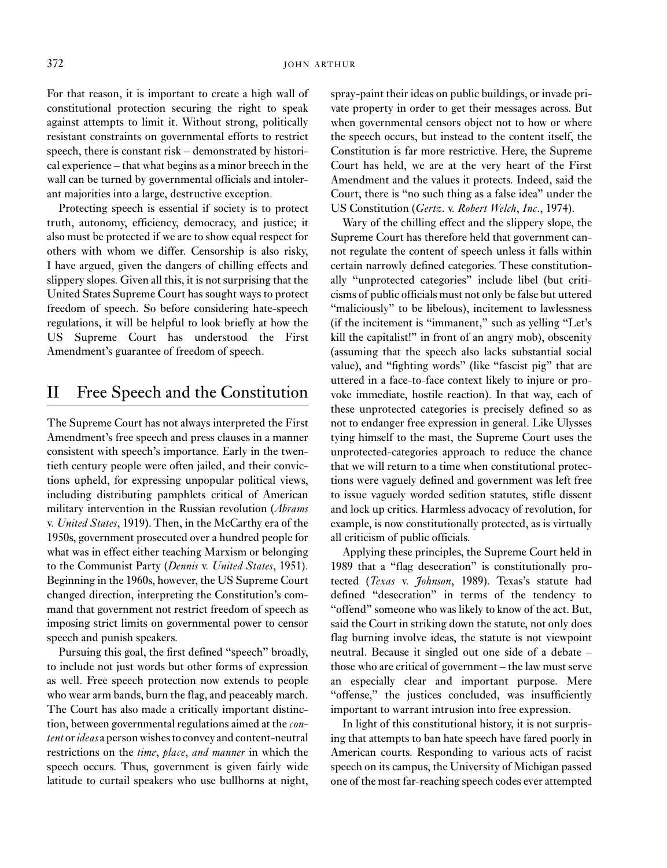For that reason, it is important to create a high wall of constitutional protection securing the right to speak against attempts to limit it. Without strong, politically resistant constraints on governmental efforts to restrict speech, there is constant risk – demonstrated by historical experience – that what begins as a minor breech in the wall can be turned by governmental officials and intolerant majorities into a large, destructive exception.

Protecting speech is essential if society is to protect truth, autonomy, efficiency, democracy, and justice; it also must be protected if we are to show equal respect for others with whom we differ. Censorship is also risky, I have argued, given the dangers of chilling effects and slippery slopes. Given all this, it is not surprising that the United States Supreme Court has sought ways to protect freedom of speech. So before considering hate-speech regulations, it will be helpful to look briefly at how the US Supreme Court has understood the First Amendment's guarantee of freedom of speech.

#### II Free Speech and the Constitution

The Supreme Court has not always interpreted the First Amendment's free speech and press clauses in a manner consistent with speech's importance. Early in the twentieth century people were often jailed, and their convictions upheld, for expressing unpopular political views, including distributing pamphlets critical of American military intervention in the Russian revolution (*Abrams* v. *United States*, 1919). Then, in the McCarthy era of the 1950s, government prosecuted over a hundred people for what was in effect either teaching Marxism or belonging to the Communist Party (*Dennis* v. *United States*, 1951). Beginning in the 1960s, however, the US Supreme Court changed direction, interpreting the Constitution's command that government not restrict freedom of speech as imposing strict limits on governmental power to censor speech and punish speakers.

Pursuing this goal, the first defined "speech" broadly, to include not just words but other forms of expression as well. Free speech protection now extends to people who wear arm bands, burn the flag, and peaceably march. The Court has also made a critically important distinction, between governmental regulations aimed at the *content* or *ideas* a person wishes to convey and content-neutral restrictions on the *time*, *place*, *and manner* in which the speech occurs. Thus, government is given fairly wide latitude to curtail speakers who use bullhorns at night, spray-paint their ideas on public buildings, or invade private property in order to get their messages across. But when governmental censors object not to how or where the speech occurs, but instead to the content itself, the Constitution is far more restrictive. Here, the Supreme Court has held, we are at the very heart of the First Amendment and the values it protects. Indeed, said the Court, there is "no such thing as a false idea" under the US Constitution (*Gertz*. v. *Robert Welch*, *Inc*., 1974).

Wary of the chilling effect and the slippery slope, the Supreme Court has therefore held that government cannot regulate the content of speech unless it falls within certain narrowly defined categories. These constitutionally "unprotected categories" include libel (but criticisms of public officials must not only be false but uttered "maliciously" to be libelous), incitement to lawlessness (if the incitement is "immanent," such as yelling "Let's kill the capitalist!" in front of an angry mob), obscenity (assuming that the speech also lacks substantial social value), and "fighting words" (like "fascist pig" that are uttered in a face-to-face context likely to injure or provoke immediate, hostile reaction). In that way, each of these unprotected categories is precisely defined so as not to endanger free expression in general. Like Ulysses tying himself to the mast, the Supreme Court uses the unprotected-categories approach to reduce the chance that we will return to a time when constitutional protections were vaguely defined and government was left free to issue vaguely worded sedition statutes, stifle dissent and lock up critics. Harmless advocacy of revolution, for example, is now constitutionally protected, as is virtually all criticism of public officials.

Applying these principles, the Supreme Court held in 1989 that a "flag desecration" is constitutionally protected (*Texas* v. *Johnson*, 1989). Texas's statute had defined "desecration" in terms of the tendency to "offend" someone who was likely to know of the act. But, said the Court in striking down the statute, not only does flag burning involve ideas, the statute is not viewpoint neutral. Because it singled out one side of a debate – those who are critical of government – the law must serve an especially clear and important purpose. Mere "offense," the justices concluded, was insufficiently important to warrant intrusion into free expression.

In light of this constitutional history, it is not surprising that attempts to ban hate speech have fared poorly in American courts. Responding to various acts of racist speech on its campus, the University of Michigan passed one of the most far-reaching speech codes ever attempted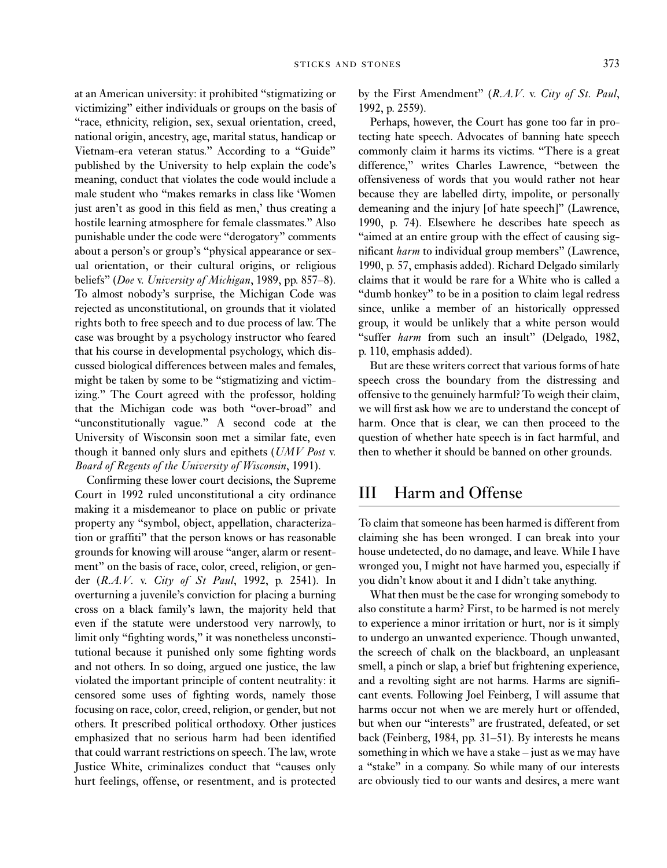at an American university: it prohibited "stigmatizing or victimizing" either individuals or groups on the basis of "race, ethnicity, religion, sex, sexual orientation, creed, national origin, ancestry, age, marital status, handicap or Vietnam-era veteran status." According to a "Guide" published by the University to help explain the code's meaning, conduct that violates the code would include a male student who "makes remarks in class like 'Women just aren't as good in this field as men,' thus creating a hostile learning atmosphere for female classmates." Also punishable under the code were "derogatory" comments about a person's or group's "physical appearance or sexual orientation, or their cultural origins, or religious beliefs" (*Doe* v. *University of Michigan*, 1989, pp. 857–8). To almost nobody's surprise, the Michigan Code was rejected as unconstitutional, on grounds that it violated rights both to free speech and to due process of law. The case was brought by a psychology instructor who feared that his course in developmental psychology, which discussed biological differences between males and females, might be taken by some to be "stigmatizing and victimizing." The Court agreed with the professor, holding that the Michigan code was both "over-broad" and "unconstitutionally vague." A second code at the University of Wisconsin soon met a similar fate, even though it banned only slurs and epithets (*UMV Post* v. *Board of Regents of the University of Wisconsin*, 1991).

Confirming these lower court decisions, the Supreme Court in 1992 ruled unconstitutional a city ordinance making it a misdemeanor to place on public or private property any "symbol, object, appellation, characterization or graffiti" that the person knows or has reasonable grounds for knowing will arouse "anger, alarm or resentment" on the basis of race, color, creed, religion, or gender (*R.A.V*. v. *City of St Paul*, 1992, p. 2541). In overturning a juvenile's conviction for placing a burning cross on a black family's lawn, the majority held that even if the statute were understood very narrowly, to limit only "fighting words," it was nonetheless unconstitutional because it punished only some fighting words and not others. In so doing, argued one justice, the law violated the important principle of content neutrality: it censored some uses of fighting words, namely those focusing on race, color, creed, religion, or gender, but not others. It prescribed political orthodoxy. Other justices emphasized that no serious harm had been identified that could warrant restrictions on speech. The law, wrote Justice White, criminalizes conduct that "causes only hurt feelings, offense, or resentment, and is protected by the First Amendment" (*R.A.V*. v. *City of St. Paul*, 1992, p. 2559).

Perhaps, however, the Court has gone too far in protecting hate speech. Advocates of banning hate speech commonly claim it harms its victims. "There is a great difference," writes Charles Lawrence, "between the offensiveness of words that you would rather not hear because they are labelled dirty, impolite, or personally demeaning and the injury [of hate speech]" (Lawrence, 1990, p. 74). Elsewhere he describes hate speech as "aimed at an entire group with the effect of causing significant *harm* to individual group members" (Lawrence, 1990, p. 57, emphasis added). Richard Delgado similarly claims that it would be rare for a White who is called a "dumb honkey" to be in a position to claim legal redress since, unlike a member of an historically oppressed group, it would be unlikely that a white person would "suffer *harm* from such an insult" (Delgado, 1982, p. 110, emphasis added).

But are these writers correct that various forms of hate speech cross the boundary from the distressing and offensive to the genuinely harmful? To weigh their claim, we will first ask how we are to understand the concept of harm. Once that is clear, we can then proceed to the question of whether hate speech is in fact harmful, and then to whether it should be banned on other grounds.

#### III Harm and Offense

To claim that someone has been harmed is different from claiming she has been wronged. I can break into your house undetected, do no damage, and leave. While I have wronged you, I might not have harmed you, especially if you didn't know about it and I didn't take anything.

What then must be the case for wronging somebody to also constitute a harm? First, to be harmed is not merely to experience a minor irritation or hurt, nor is it simply to undergo an unwanted experience. Though unwanted, the screech of chalk on the blackboard, an unpleasant smell, a pinch or slap, a brief but frightening experience, and a revolting sight are not harms. Harms are significant events. Following Joel Feinberg, I will assume that harms occur not when we are merely hurt or offended, but when our "interests" are frustrated, defeated, or set back (Feinberg, 1984, pp. 31–51). By interests he means something in which we have a stake – just as we may have a "stake" in a company. So while many of our interests are obviously tied to our wants and desires, a mere want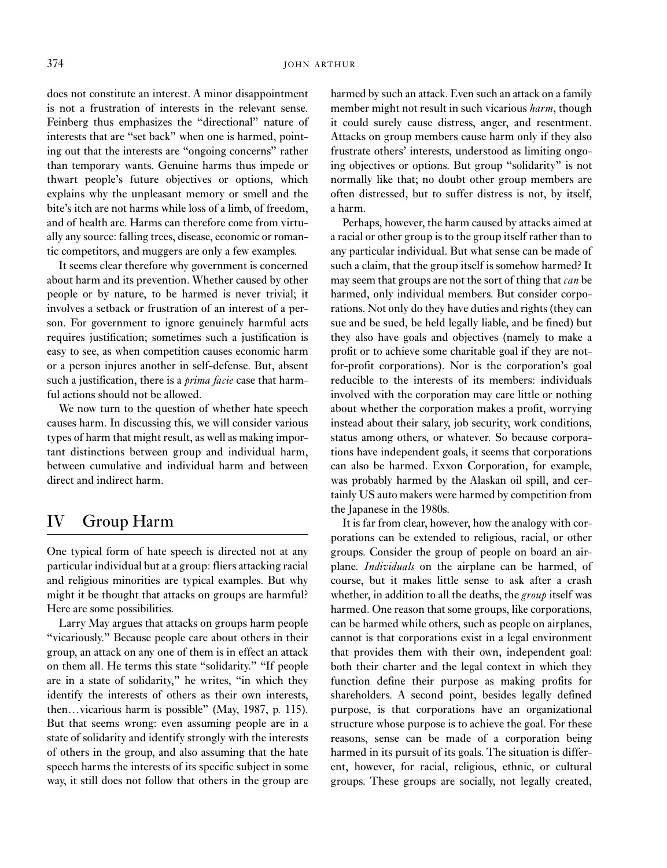does not constitute an interest. A minor disappointment is not a frustration of interests in the relevant sense. Feinberg thus emphasizes the "directional" nature of interests that are "set back" when one is harmed, pointing out that the interests are "ongoing concerns" rather than temporary wants. Genuine harms thus impede or thwart people's future objectives or options, which explains why the unpleasant memory or smell and the bite's itch are not harms while loss of a limb, of freedom, and of health are. Harms can therefore come from virtually any source: falling trees, disease, economic or romantic competitors, and muggers are only a few examples.

It seems clear therefore why government is concerned about harm and its prevention. Whether caused by other people or by nature, to be harmed is never trivial; it involves a setback or frustration of an interest of a person. For government to ignore genuinely harmful acts requires justification; sometimes such a justification is easy to see, as when competition causes economic harm or a person injures another in self-defense. But, absent such a justification, there is a *prima facie* case that harmful actions should not be allowed.

We now turn to the question of whether hate speech causes harm. In discussing this, we will consider various types of harm that might result, as well as making important distinctions between group and individual harm, between cumulative and individual harm and between direct and indirect harm.

#### IV Group Harm

One typical form of hate speech is directed not at any particular individual but at a group: fliers attacking racial and religious minorities are typical examples. But why might it be thought that attacks on groups are harmful? Here are some possibilities.

Larry May argues that attacks on groups harm people "vicariously." Because people care about others in their group, an attack on any one of them is in effect an attack on them all. He terms this state "solidarity." "If people are in a state of solidarity," he writes, "in which they identify the interests of others as their own interests, then…vicarious harm is possible" (May, 1987, p. 115). But that seems wrong: even assuming people are in a state of solidarity and identify strongly with the interests of others in the group, and also assuming that the hate speech harms the interests of its specific subject in some way, it still does not follow that others in the group are

harmed by such an attack. Even such an attack on a family member might not result in such vicarious *harm*, though it could surely cause distress, anger, and resentment. Attacks on group members cause harm only if they also frustrate others' interests, understood as limiting ongoing objectives or options. But group "solidarity" is not normally like that; no doubt other group members are often distressed, but to suffer distress is not, by itself, a harm.

Perhaps, however, the harm caused by attacks aimed at a racial or other group is to the group itself rather than to any particular individual. But what sense can be made of such a claim, that the group itself is somehow harmed? It may seem that groups are not the sort of thing that *can* be harmed, only individual members. But consider corporations. Not only do they have duties and rights (they can sue and be sued, be held legally liable, and be fined) but they also have goals and objectives (namely to make a profit or to achieve some charitable goal if they are notfor-profit corporations). Nor is the corporation's goal reducible to the interests of its members: individuals involved with the corporation may care little or nothing about whether the corporation makes a profit, worrying instead about their salary, job security, work conditions, status among others, or whatever. So because corporations have independent goals, it seems that corporations can also be harmed. Exxon Corporation, for example, was probably harmed by the Alaskan oil spill, and certainly US auto makers were harmed by competition from the Japanese in the 1980s.

It is far from clear, however, how the analogy with corporations can be extended to religious, racial, or other groups. Consider the group of people on board an airplane. *Individuals* on the airplane can be harmed, of course, but it makes little sense to ask after a crash whether, in addition to all the deaths, the *group* itself was harmed. One reason that some groups, like corporations, can be harmed while others, such as people on airplanes, cannot is that corporations exist in a legal environment that provides them with their own, independent goal: both their charter and the legal context in which they function define their purpose as making profits for shareholders. A second point, besides legally defined purpose, is that corporations have an organizational structure whose purpose is to achieve the goal. For these reasons, sense can be made of a corporation being harmed in its pursuit of its goals. The situation is different, however, for racial, religious, ethnic, or cultural groups. These groups are socially, not legally created,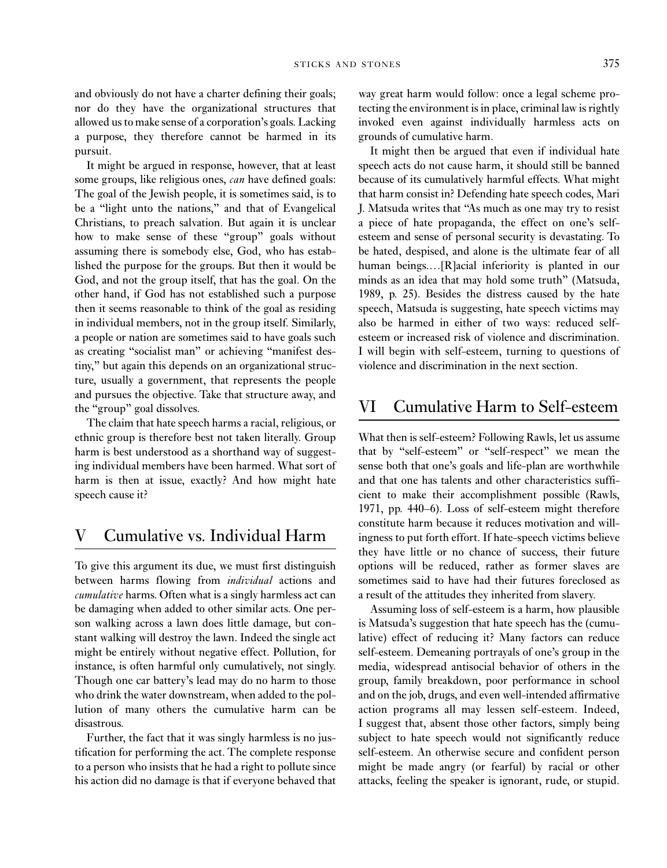and obviously do not have a charter defining their goals; nor do they have the organizational structures that allowed us to make sense of a corporation's goals. Lacking a purpose, they therefore cannot be harmed in its pursuit.

It might be argued in response, however, that at least some groups, like religious ones, *can* have defined goals: The goal of the Jewish people, it is sometimes said, is to be a "light unto the nations," and that of Evangelical Christians, to preach salvation. But again it is unclear how to make sense of these "group" goals without assuming there is somebody else, God, who has established the purpose for the groups. But then it would be God, and not the group itself, that has the goal. On the other hand, if God has not established such a purpose then it seems reasonable to think of the goal as residing in individual members, not in the group itself. Similarly, a people or nation are sometimes said to have goals such as creating "socialist man" or achieving "manifest destiny," but again this depends on an organizational structure, usually a government, that represents the people and pursues the objective. Take that structure away, and the "group" goal dissolves.

The claim that hate speech harms a racial, religious, or ethnic group is therefore best not taken literally. Group harm is best understood as a shorthand way of suggesting individual members have been harmed. What sort of harm is then at issue, exactly? And how might hate speech cause it?

#### V Cumulative vs. Individual Harm

To give this argument its due, we must first distinguish between harms flowing from *individual* actions and *cumulative* harms. Often what is a singly harmless act can be damaging when added to other similar acts. One person walking across a lawn does little damage, but constant walking will destroy the lawn. Indeed the single act might be entirely without negative effect. Pollution, for instance, is often harmful only cumulatively, not singly. Though one car battery's lead may do no harm to those who drink the water downstream, when added to the pollution of many others the cumulative harm can be disastrous.

Further, the fact that it was singly harmless is no justification for performing the act. The complete response to a person who insists that he had a right to pollute since his action did no damage is that if everyone behaved that way great harm would follow: once a legal scheme protecting the environment is in place, criminal law is rightly invoked even against individually harmless acts on grounds of cumulative harm.

It might then be argued that even if individual hate speech acts do not cause harm, it should still be banned because of its cumulatively harmful effects. What might that harm consist in? Defending hate speech codes, Mari J. Matsuda writes that "As much as one may try to resist a piece of hate propaganda, the effect on one's selfesteem and sense of personal security is devastating. To be hated, despised, and alone is the ultimate fear of all human beings.…[R]acial inferiority is planted in our minds as an idea that may hold some truth" (Matsuda, 1989, p. 25). Besides the distress caused by the hate speech, Matsuda is suggesting, hate speech victims may also be harmed in either of two ways: reduced selfesteem or increased risk of violence and discrimination. I will begin with self-esteem, turning to questions of violence and discrimination in the next section.

#### VI Cumulative Harm to Self-esteem

What then is self-esteem? Following Rawls, let us assume that by "self-esteem" or "self-respect" we mean the sense both that one's goals and life-plan are worthwhile and that one has talents and other characteristics sufficient to make their accomplishment possible (Rawls, 1971, pp. 440–6). Loss of self-esteem might therefore constitute harm because it reduces motivation and willingness to put forth effort. If hate-speech victims believe they have little or no chance of success, their future options will be reduced, rather as former slaves are sometimes said to have had their futures foreclosed as a result of the attitudes they inherited from slavery.

Assuming loss of self-esteem is a harm, how plausible is Matsuda's suggestion that hate speech has the (cumulative) effect of reducing it? Many factors can reduce self-esteem. Demeaning portrayals of one's group in the media, widespread antisocial behavior of others in the group, family breakdown, poor performance in school and on the job, drugs, and even well-intended affirmative action programs all may lessen self-esteem. Indeed, I suggest that, absent those other factors, simply being subject to hate speech would not significantly reduce self-esteem. An otherwise secure and confident person might be made angry (or fearful) by racial or other attacks, feeling the speaker is ignorant, rude, or stupid.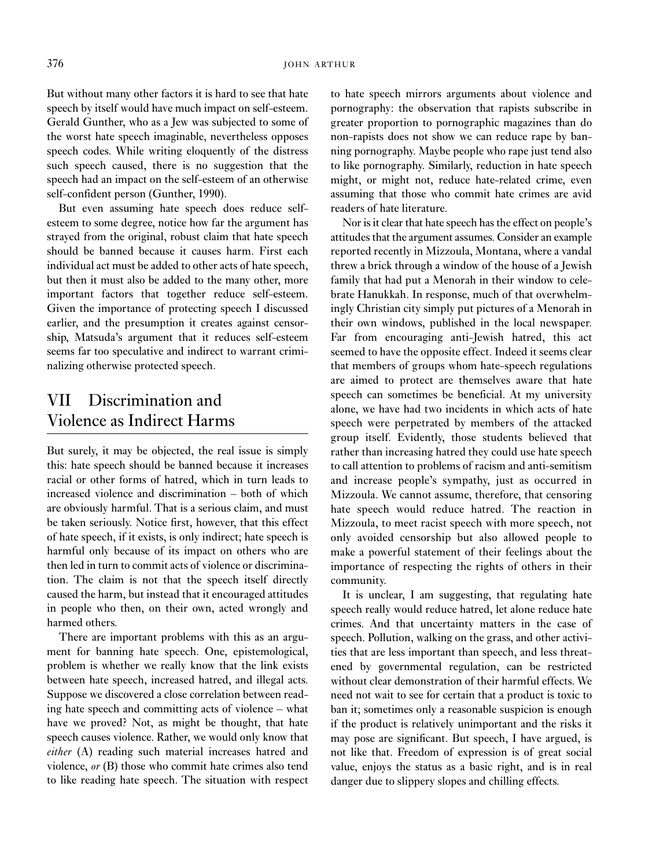But without many other factors it is hard to see that hate speech by itself would have much impact on self-esteem. Gerald Gunther, who as a Jew was subjected to some of the worst hate speech imaginable, nevertheless opposes speech codes. While writing eloquently of the distress such speech caused, there is no suggestion that the speech had an impact on the self-esteem of an otherwise self-confident person (Gunther, 1990).

But even assuming hate speech does reduce selfesteem to some degree, notice how far the argument has strayed from the original, robust claim that hate speech should be banned because it causes harm. First each individual act must be added to other acts of hate speech, but then it must also be added to the many other, more important factors that together reduce self-esteem. Given the importance of protecting speech I discussed earlier, and the presumption it creates against censorship, Matsuda's argument that it reduces self-esteem seems far too speculative and indirect to warrant criminalizing otherwise protected speech.

#### VII Discrimination and Violence as Indirect Harms

But surely, it may be objected, the real issue is simply this: hate speech should be banned because it increases racial or other forms of hatred, which in turn leads to increased violence and discrimination – both of which are obviously harmful. That is a serious claim, and must be taken seriously. Notice first, however, that this effect of hate speech, if it exists, is only indirect; hate speech is harmful only because of its impact on others who are then led in turn to commit acts of violence or discrimination. The claim is not that the speech itself directly caused the harm, but instead that it encouraged attitudes in people who then, on their own, acted wrongly and harmed others.

There are important problems with this as an argument for banning hate speech. One, epistemological, problem is whether we really know that the link exists between hate speech, increased hatred, and illegal acts. Suppose we discovered a close correlation between reading hate speech and committing acts of violence – what have we proved? Not, as might be thought, that hate speech causes violence. Rather, we would only know that *either* (A) reading such material increases hatred and violence, *or* (B) those who commit hate crimes also tend to like reading hate speech. The situation with respect to hate speech mirrors arguments about violence and pornography: the observation that rapists subscribe in greater proportion to pornographic magazines than do non-rapists does not show we can reduce rape by banning pornography. Maybe people who rape just tend also to like pornography. Similarly, reduction in hate speech might, or might not, reduce hate-related crime, even assuming that those who commit hate crimes are avid readers of hate literature.

Nor is it clear that hate speech has the effect on people's attitudes that the argument assumes. Consider an example reported recently in Mizzoula, Montana, where a vandal threw a brick through a window of the house of a Jewish family that had put a Menorah in their window to celebrate Hanukkah. In response, much of that overwhelmingly Christian city simply put pictures of a Menorah in their own windows, published in the local newspaper. Far from encouraging anti-Jewish hatred, this act seemed to have the opposite effect. Indeed it seems clear that members of groups whom hate-speech regulations are aimed to protect are themselves aware that hate speech can sometimes be beneficial. At my university alone, we have had two incidents in which acts of hate speech were perpetrated by members of the attacked group itself. Evidently, those students believed that rather than increasing hatred they could use hate speech to call attention to problems of racism and anti-semitism and increase people's sympathy, just as occurred in Mizzoula. We cannot assume, therefore, that censoring hate speech would reduce hatred. The reaction in Mizzoula, to meet racist speech with more speech, not only avoided censorship but also allowed people to make a powerful statement of their feelings about the importance of respecting the rights of others in their community.

It is unclear, I am suggesting, that regulating hate speech really would reduce hatred, let alone reduce hate crimes. And that uncertainty matters in the case of speech. Pollution, walking on the grass, and other activities that are less important than speech, and less threatened by governmental regulation, can be restricted without clear demonstration of their harmful effects. We need not wait to see for certain that a product is toxic to ban it; sometimes only a reasonable suspicion is enough if the product is relatively unimportant and the risks it may pose are significant. But speech, I have argued, is not like that. Freedom of expression is of great social value, enjoys the status as a basic right, and is in real danger due to slippery slopes and chilling effects.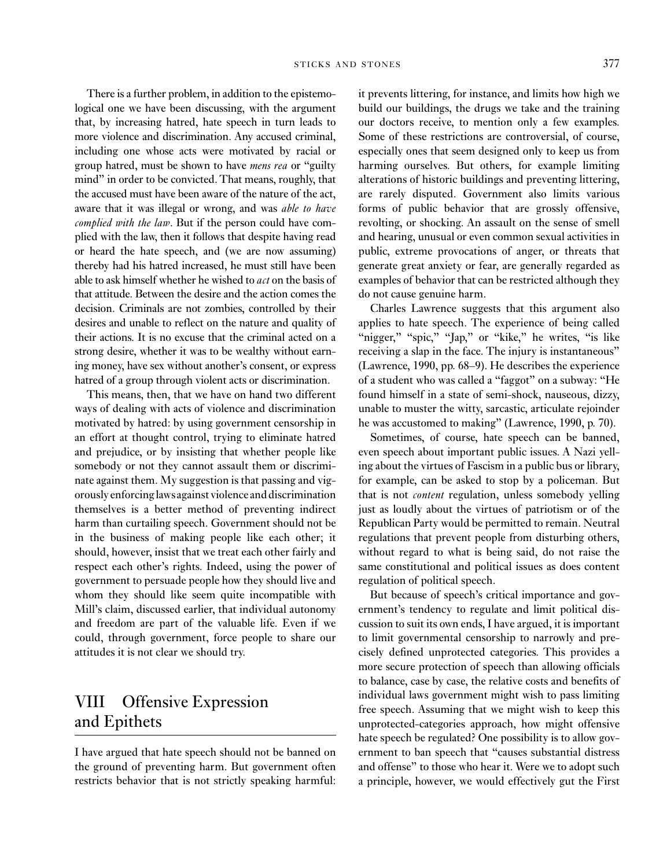There is a further problem, in addition to the epistemological one we have been discussing, with the argument that, by increasing hatred, hate speech in turn leads to more violence and discrimination. Any accused criminal, including one whose acts were motivated by racial or group hatred, must be shown to have *mens rea* or "guilty mind" in order to be convicted. That means, roughly, that the accused must have been aware of the nature of the act, aware that it was illegal or wrong, and was *able to have complied with the law*. But if the person could have complied with the law, then it follows that despite having read or heard the hate speech, and (we are now assuming) thereby had his hatred increased, he must still have been able to ask himself whether he wished to *act* on the basis of that attitude. Between the desire and the action comes the decision. Criminals are not zombies, controlled by their desires and unable to reflect on the nature and quality of their actions. It is no excuse that the criminal acted on a strong desire, whether it was to be wealthy without earning money, have sex without another's consent, or express hatred of a group through violent acts or discrimination.

This means, then, that we have on hand two different ways of dealing with acts of violence and discrimination motivated by hatred: by using government censorship in an effort at thought control, trying to eliminate hatred and prejudice, or by insisting that whether people like somebody or not they cannot assault them or discriminate against them. My suggestion is that passing and vigorously enforcing laws against violence and discrimination themselves is a better method of preventing indirect harm than curtailing speech. Government should not be in the business of making people like each other; it should, however, insist that we treat each other fairly and respect each other's rights. Indeed, using the power of government to persuade people how they should live and whom they should like seem quite incompatible with Mill's claim, discussed earlier, that individual autonomy and freedom are part of the valuable life. Even if we could, through government, force people to share our attitudes it is not clear we should try.

## VIII Offensive Expression and Epithets

I have argued that hate speech should not be banned on the ground of preventing harm. But government often restricts behavior that is not strictly speaking harmful: it prevents littering, for instance, and limits how high we build our buildings, the drugs we take and the training our doctors receive, to mention only a few examples. Some of these restrictions are controversial, of course, especially ones that seem designed only to keep us from harming ourselves. But others, for example limiting alterations of historic buildings and preventing littering, are rarely disputed. Government also limits various forms of public behavior that are grossly offensive, revolting, or shocking. An assault on the sense of smell and hearing, unusual or even common sexual activities in public, extreme provocations of anger, or threats that generate great anxiety or fear, are generally regarded as examples of behavior that can be restricted although they do not cause genuine harm.

Charles Lawrence suggests that this argument also applies to hate speech. The experience of being called "nigger," "spic," "Jap," or "kike," he writes, "is like receiving a slap in the face. The injury is instantaneous" (Lawrence, 1990, pp. 68–9). He describes the experience of a student who was called a "faggot" on a subway: "He found himself in a state of semi-shock, nauseous, dizzy, unable to muster the witty, sarcastic, articulate rejoinder he was accustomed to making" (Lawrence, 1990, p. 70).

Sometimes, of course, hate speech can be banned, even speech about important public issues. A Nazi yelling about the virtues of Fascism in a public bus or library, for example, can be asked to stop by a policeman. But that is not *content* regulation, unless somebody yelling just as loudly about the virtues of patriotism or of the Republican Party would be permitted to remain. Neutral regulations that prevent people from disturbing others, without regard to what is being said, do not raise the same constitutional and political issues as does content regulation of political speech.

But because of speech's critical importance and government's tendency to regulate and limit political discussion to suit its own ends, I have argued, it is important to limit governmental censorship to narrowly and precisely defined unprotected categories. This provides a more secure protection of speech than allowing officials to balance, case by case, the relative costs and benefits of individual laws government might wish to pass limiting free speech. Assuming that we might wish to keep this unprotected-categories approach, how might offensive hate speech be regulated? One possibility is to allow government to ban speech that "causes substantial distress and offense" to those who hear it. Were we to adopt such a principle, however, we would effectively gut the First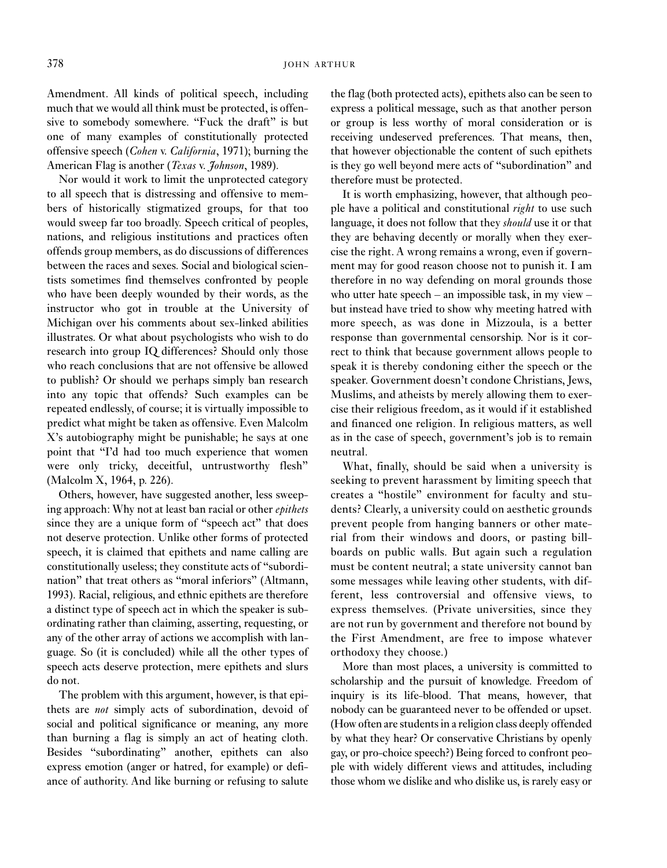Amendment. All kinds of political speech, including much that we would all think must be protected, is offensive to somebody somewhere. "Fuck the draft" is but one of many examples of constitutionally protected offensive speech (*Cohen* v. *California*, 1971); burning the American Flag is another (*Texas* v. *Johnson*, 1989).

Nor would it work to limit the unprotected category to all speech that is distressing and offensive to members of historically stigmatized groups, for that too would sweep far too broadly. Speech critical of peoples, nations, and religious institutions and practices often offends group members, as do discussions of differences between the races and sexes. Social and biological scientists sometimes find themselves confronted by people who have been deeply wounded by their words, as the instructor who got in trouble at the University of Michigan over his comments about sex-linked abilities illustrates. Or what about psychologists who wish to do research into group IQ differences? Should only those who reach conclusions that are not offensive be allowed to publish? Or should we perhaps simply ban research into any topic that offends? Such examples can be repeated endlessly, of course; it is virtually impossible to predict what might be taken as offensive. Even Malcolm X's autobiography might be punishable; he says at one point that "I'd had too much experience that women were only tricky, deceitful, untrustworthy flesh" (Malcolm X, 1964, p. 226).

Others, however, have suggested another, less sweeping approach: Why not at least ban racial or other *epithets* since they are a unique form of "speech act" that does not deserve protection. Unlike other forms of protected speech, it is claimed that epithets and name calling are constitutionally useless; they constitute acts of "subordination" that treat others as "moral inferiors" (Altmann, 1993). Racial, religious, and ethnic epithets are therefore a distinct type of speech act in which the speaker is subordinating rather than claiming, asserting, requesting, or any of the other array of actions we accomplish with language. So (it is concluded) while all the other types of speech acts deserve protection, mere epithets and slurs do not.

The problem with this argument, however, is that epithets are *not* simply acts of subordination, devoid of social and political significance or meaning, any more than burning a flag is simply an act of heating cloth. Besides "subordinating" another, epithets can also express emotion (anger or hatred, for example) or defiance of authority. And like burning or refusing to salute the flag (both protected acts), epithets also can be seen to express a political message, such as that another person or group is less worthy of moral consideration or is receiving undeserved preferences. That means, then, that however objectionable the content of such epithets is they go well beyond mere acts of "subordination" and therefore must be protected.

It is worth emphasizing, however, that although people have a political and constitutional *right* to use such language, it does not follow that they *should* use it or that they are behaving decently or morally when they exercise the right. A wrong remains a wrong, even if government may for good reason choose not to punish it. I am therefore in no way defending on moral grounds those who utter hate speech – an impossible task, in my view – but instead have tried to show why meeting hatred with more speech, as was done in Mizzoula, is a better response than governmental censorship. Nor is it correct to think that because government allows people to speak it is thereby condoning either the speech or the speaker. Government doesn't condone Christians, Jews, Muslims, and atheists by merely allowing them to exercise their religious freedom, as it would if it established and financed one religion. In religious matters, as well as in the case of speech, government's job is to remain neutral.

What, finally, should be said when a university is seeking to prevent harassment by limiting speech that creates a "hostile" environment for faculty and students? Clearly, a university could on aesthetic grounds prevent people from hanging banners or other material from their windows and doors, or pasting billboards on public walls. But again such a regulation must be content neutral; a state university cannot ban some messages while leaving other students, with different, less controversial and offensive views, to express themselves. (Private universities, since they are not run by government and therefore not bound by the First Amendment, are free to impose whatever orthodoxy they choose.)

More than most places, a university is committed to scholarship and the pursuit of knowledge. Freedom of inquiry is its life-blood. That means, however, that nobody can be guaranteed never to be offended or upset. (How often are students in a religion class deeply offended by what they hear? Or conservative Christians by openly gay, or pro-choice speech?) Being forced to confront people with widely different views and attitudes, including those whom we dislike and who dislike us, is rarely easy or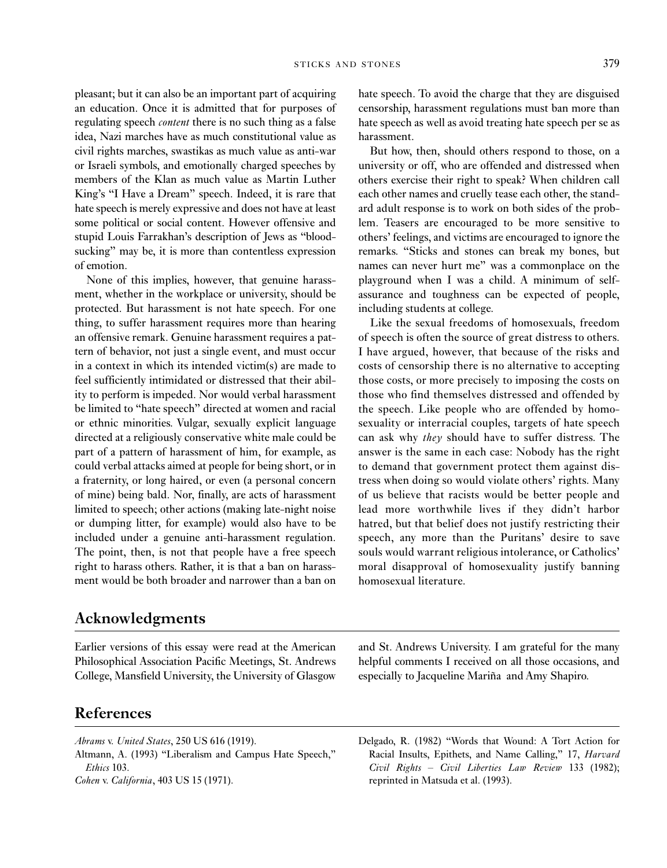pleasant; but it can also be an important part of acquiring an education. Once it is admitted that for purposes of regulating speech *content* there is no such thing as a false idea, Nazi marches have as much constitutional value as civil rights marches, swastikas as much value as anti-war or Israeli symbols, and emotionally charged speeches by members of the Klan as much value as Martin Luther King's "I Have a Dream" speech. Indeed, it is rare that hate speech is merely expressive and does not have at least some political or social content. However offensive and stupid Louis Farrakhan's description of Jews as "bloodsucking" may be, it is more than contentless expression of emotion.

None of this implies, however, that genuine harassment, whether in the workplace or university, should be protected. But harassment is not hate speech. For one thing, to suffer harassment requires more than hearing an offensive remark. Genuine harassment requires a pattern of behavior, not just a single event, and must occur in a context in which its intended victim(s) are made to feel sufficiently intimidated or distressed that their ability to perform is impeded. Nor would verbal harassment be limited to "hate speech" directed at women and racial or ethnic minorities. Vulgar, sexually explicit language directed at a religiously conservative white male could be part of a pattern of harassment of him, for example, as could verbal attacks aimed at people for being short, or in a fraternity, or long haired, or even (a personal concern of mine) being bald. Nor, finally, are acts of harassment limited to speech; other actions (making late-night noise or dumping litter, for example) would also have to be included under a genuine anti-harassment regulation. The point, then, is not that people have a free speech right to harass others. Rather, it is that a ban on harassment would be both broader and narrower than a ban on hate speech. To avoid the charge that they are disguised censorship, harassment regulations must ban more than hate speech as well as avoid treating hate speech per se as harassment.

But how, then, should others respond to those, on a university or off, who are offended and distressed when others exercise their right to speak? When children call each other names and cruelly tease each other, the standard adult response is to work on both sides of the problem. Teasers are encouraged to be more sensitive to others' feelings, and victims are encouraged to ignore the remarks. "Sticks and stones can break my bones, but names can never hurt me" was a commonplace on the playground when I was a child. A minimum of selfassurance and toughness can be expected of people, including students at college.

Like the sexual freedoms of homosexuals, freedom of speech is often the source of great distress to others. I have argued, however, that because of the risks and costs of censorship there is no alternative to accepting those costs, or more precisely to imposing the costs on those who find themselves distressed and offended by the speech. Like people who are offended by homosexuality or interracial couples, targets of hate speech can ask why *they* should have to suffer distress. The answer is the same in each case: Nobody has the right to demand that government protect them against distress when doing so would violate others' rights. Many of us believe that racists would be better people and lead more worthwhile lives if they didn't harbor hatred, but that belief does not justify restricting their speech, any more than the Puritans' desire to save souls would warrant religious intolerance, or Catholics' moral disapproval of homosexuality justify banning homosexual literature.

#### **Acknowledgments**

Earlier versions of this essay were read at the American Philosophical Association Pacific Meetings, St. Andrews College, Mansfield University, the University of Glasgow

and St. Andrews University. I am grateful for the many helpful comments I received on all those occasions, and especially to Jacqueline Mariña and Amy Shapiro.

#### **References**

- *Abrams* v. *United States*, 250 US 616 (1919).
- Altmann, A. (1993) "Liberalism and Campus Hate Speech," *Ethics* 103.
- *Cohen* v. *California*, 403 US 15 (1971).

Delgado, R. (1982) "Words that Wound: A Tort Action for Racial Insults, Epithets, and Name Calling," 17, *Harvard Civil Rights – Civil Liberties Law Review* 133 (1982); reprinted in Matsuda et al. (1993).